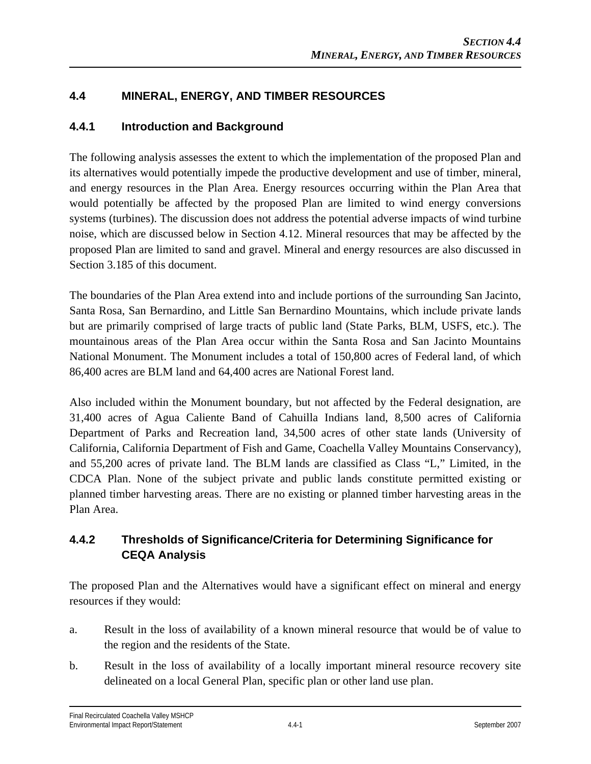# **4.4 MINERAL, ENERGY, AND TIMBER RESOURCES**

# **4.4.1 Introduction and Background**

The following analysis assesses the extent to which the implementation of the proposed Plan and its alternatives would potentially impede the productive development and use of timber, mineral, and energy resources in the Plan Area. Energy resources occurring within the Plan Area that would potentially be affected by the proposed Plan are limited to wind energy conversions systems (turbines). The discussion does not address the potential adverse impacts of wind turbine noise, which are discussed below in Section 4.12. Mineral resources that may be affected by the proposed Plan are limited to sand and gravel. Mineral and energy resources are also discussed in Section 3.185 of this document.

The boundaries of the Plan Area extend into and include portions of the surrounding San Jacinto, Santa Rosa, San Bernardino, and Little San Bernardino Mountains, which include private lands but are primarily comprised of large tracts of public land (State Parks, BLM, USFS, etc.). The mountainous areas of the Plan Area occur within the Santa Rosa and San Jacinto Mountains National Monument. The Monument includes a total of 150,800 acres of Federal land, of which 86,400 acres are BLM land and 64,400 acres are National Forest land.

Also included within the Monument boundary, but not affected by the Federal designation, are 31,400 acres of Agua Caliente Band of Cahuilla Indians land, 8,500 acres of California Department of Parks and Recreation land, 34,500 acres of other state lands (University of California, California Department of Fish and Game, Coachella Valley Mountains Conservancy), and 55,200 acres of private land. The BLM lands are classified as Class "L," Limited, in the CDCA Plan. None of the subject private and public lands constitute permitted existing or planned timber harvesting areas. There are no existing or planned timber harvesting areas in the Plan Area.

# **4.4.2 Thresholds of Significance/Criteria for Determining Significance for CEQA Analysis**

The proposed Plan and the Alternatives would have a significant effect on mineral and energy resources if they would:

- a. Result in the loss of availability of a known mineral resource that would be of value to the region and the residents of the State.
- b. Result in the loss of availability of a locally important mineral resource recovery site delineated on a local General Plan, specific plan or other land use plan.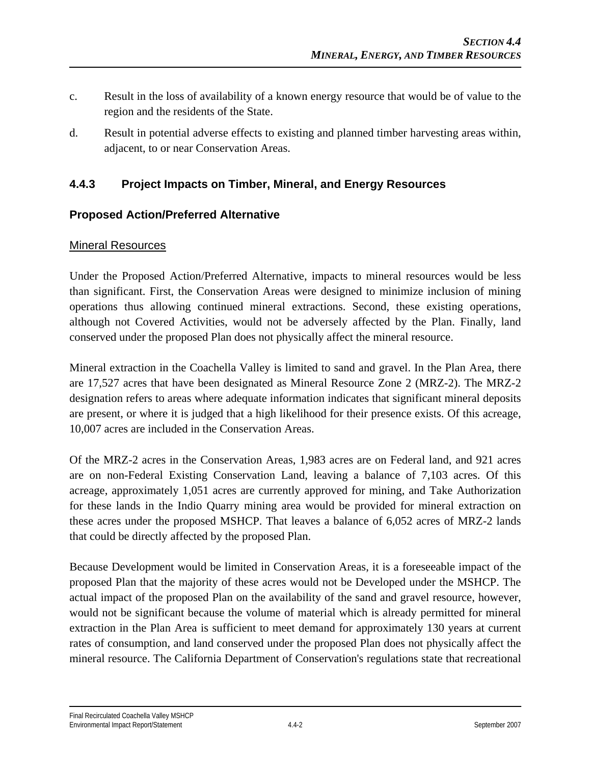- c. Result in the loss of availability of a known energy resource that would be of value to the region and the residents of the State.
- d. Result in potential adverse effects to existing and planned timber harvesting areas within, adjacent, to or near Conservation Areas.

# **4.4.3 Project Impacts on Timber, Mineral, and Energy Resources**

### **Proposed Action/Preferred Alternative**

### Mineral Resources

Under the Proposed Action/Preferred Alternative, impacts to mineral resources would be less than significant. First, the Conservation Areas were designed to minimize inclusion of mining operations thus allowing continued mineral extractions. Second, these existing operations, although not Covered Activities, would not be adversely affected by the Plan. Finally, land conserved under the proposed Plan does not physically affect the mineral resource.

Mineral extraction in the Coachella Valley is limited to sand and gravel. In the Plan Area, there are 17,527 acres that have been designated as Mineral Resource Zone 2 (MRZ-2). The MRZ-2 designation refers to areas where adequate information indicates that significant mineral deposits are present, or where it is judged that a high likelihood for their presence exists. Of this acreage, 10,007 acres are included in the Conservation Areas.

Of the MRZ-2 acres in the Conservation Areas, 1,983 acres are on Federal land, and 921 acres are on non-Federal Existing Conservation Land, leaving a balance of 7,103 acres. Of this acreage, approximately 1,051 acres are currently approved for mining, and Take Authorization for these lands in the Indio Quarry mining area would be provided for mineral extraction on these acres under the proposed MSHCP. That leaves a balance of 6,052 acres of MRZ-2 lands that could be directly affected by the proposed Plan.

Because Development would be limited in Conservation Areas, it is a foreseeable impact of the proposed Plan that the majority of these acres would not be Developed under the MSHCP. The actual impact of the proposed Plan on the availability of the sand and gravel resource, however, would not be significant because the volume of material which is already permitted for mineral extraction in the Plan Area is sufficient to meet demand for approximately 130 years at current rates of consumption, and land conserved under the proposed Plan does not physically affect the mineral resource. The California Department of Conservation's regulations state that recreational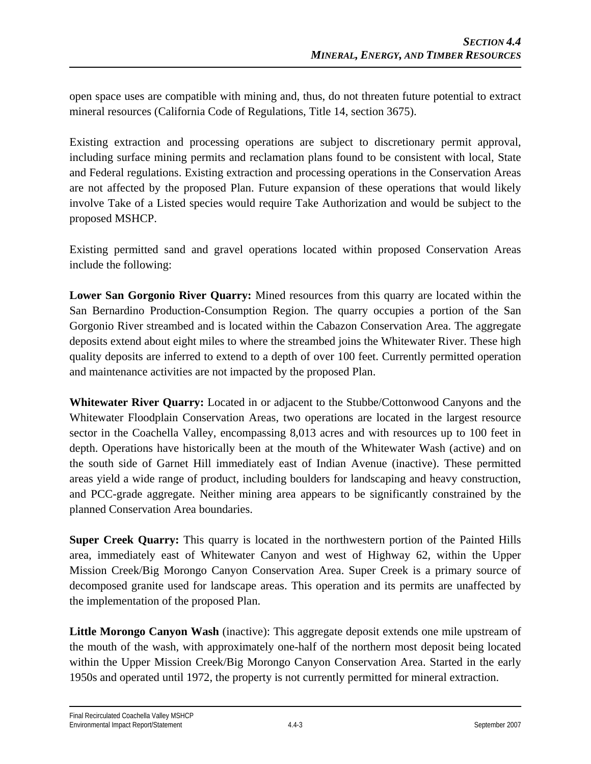open space uses are compatible with mining and, thus, do not threaten future potential to extract mineral resources (California Code of Regulations, Title 14, section 3675).

Existing extraction and processing operations are subject to discretionary permit approval, including surface mining permits and reclamation plans found to be consistent with local, State and Federal regulations. Existing extraction and processing operations in the Conservation Areas are not affected by the proposed Plan. Future expansion of these operations that would likely involve Take of a Listed species would require Take Authorization and would be subject to the proposed MSHCP.

Existing permitted sand and gravel operations located within proposed Conservation Areas include the following:

**Lower San Gorgonio River Quarry:** Mined resources from this quarry are located within the San Bernardino Production-Consumption Region. The quarry occupies a portion of the San Gorgonio River streambed and is located within the Cabazon Conservation Area. The aggregate deposits extend about eight miles to where the streambed joins the Whitewater River. These high quality deposits are inferred to extend to a depth of over 100 feet. Currently permitted operation and maintenance activities are not impacted by the proposed Plan.

**Whitewater River Quarry:** Located in or adjacent to the Stubbe/Cottonwood Canyons and the Whitewater Floodplain Conservation Areas, two operations are located in the largest resource sector in the Coachella Valley, encompassing 8,013 acres and with resources up to 100 feet in depth. Operations have historically been at the mouth of the Whitewater Wash (active) and on the south side of Garnet Hill immediately east of Indian Avenue (inactive). These permitted areas yield a wide range of product, including boulders for landscaping and heavy construction, and PCC-grade aggregate. Neither mining area appears to be significantly constrained by the planned Conservation Area boundaries.

**Super Creek Quarry:** This quarry is located in the northwestern portion of the Painted Hills area, immediately east of Whitewater Canyon and west of Highway 62, within the Upper Mission Creek/Big Morongo Canyon Conservation Area. Super Creek is a primary source of decomposed granite used for landscape areas. This operation and its permits are unaffected by the implementation of the proposed Plan.

Little Morongo Canyon Wash (inactive): This aggregate deposit extends one mile upstream of the mouth of the wash, with approximately one-half of the northern most deposit being located within the Upper Mission Creek/Big Morongo Canyon Conservation Area. Started in the early 1950s and operated until 1972, the property is not currently permitted for mineral extraction.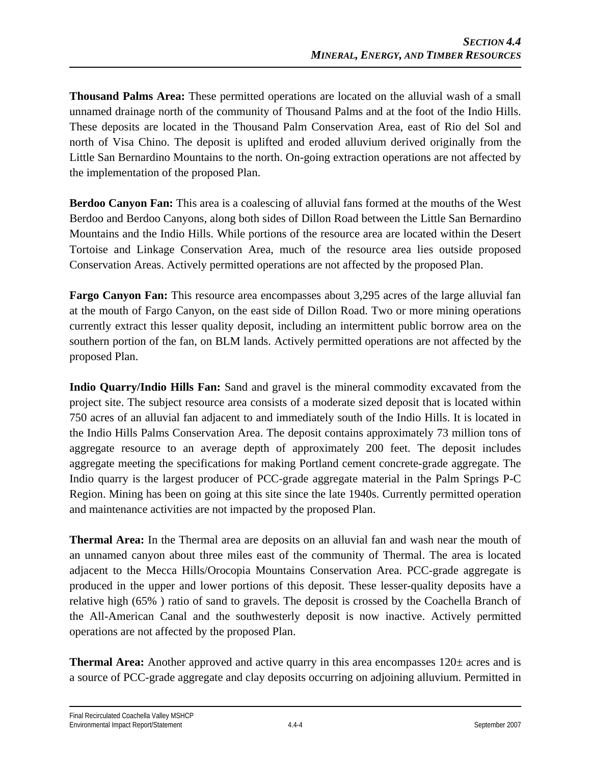**Thousand Palms Area:** These permitted operations are located on the alluvial wash of a small unnamed drainage north of the community of Thousand Palms and at the foot of the Indio Hills. These deposits are located in the Thousand Palm Conservation Area, east of Rio del Sol and north of Visa Chino. The deposit is uplifted and eroded alluvium derived originally from the Little San Bernardino Mountains to the north. On-going extraction operations are not affected by the implementation of the proposed Plan.

**Berdoo Canyon Fan:** This area is a coalescing of alluvial fans formed at the mouths of the West Berdoo and Berdoo Canyons, along both sides of Dillon Road between the Little San Bernardino Mountains and the Indio Hills. While portions of the resource area are located within the Desert Tortoise and Linkage Conservation Area, much of the resource area lies outside proposed Conservation Areas. Actively permitted operations are not affected by the proposed Plan.

**Fargo Canyon Fan:** This resource area encompasses about 3,295 acres of the large alluvial fan at the mouth of Fargo Canyon, on the east side of Dillon Road. Two or more mining operations currently extract this lesser quality deposit, including an intermittent public borrow area on the southern portion of the fan, on BLM lands. Actively permitted operations are not affected by the proposed Plan.

**Indio Quarry/Indio Hills Fan:** Sand and gravel is the mineral commodity excavated from the project site. The subject resource area consists of a moderate sized deposit that is located within 750 acres of an alluvial fan adjacent to and immediately south of the Indio Hills. It is located in the Indio Hills Palms Conservation Area. The deposit contains approximately 73 million tons of aggregate resource to an average depth of approximately 200 feet. The deposit includes aggregate meeting the specifications for making Portland cement concrete-grade aggregate. The Indio quarry is the largest producer of PCC-grade aggregate material in the Palm Springs P-C Region. Mining has been on going at this site since the late 1940s. Currently permitted operation and maintenance activities are not impacted by the proposed Plan.

**Thermal Area:** In the Thermal area are deposits on an alluvial fan and wash near the mouth of an unnamed canyon about three miles east of the community of Thermal. The area is located adjacent to the Mecca Hills/Orocopia Mountains Conservation Area. PCC-grade aggregate is produced in the upper and lower portions of this deposit. These lesser-quality deposits have a relative high (65% ) ratio of sand to gravels. The deposit is crossed by the Coachella Branch of the All-American Canal and the southwesterly deposit is now inactive. Actively permitted operations are not affected by the proposed Plan.

**Thermal Area:** Another approved and active quarry in this area encompasses 120± acres and is a source of PCC-grade aggregate and clay deposits occurring on adjoining alluvium. Permitted in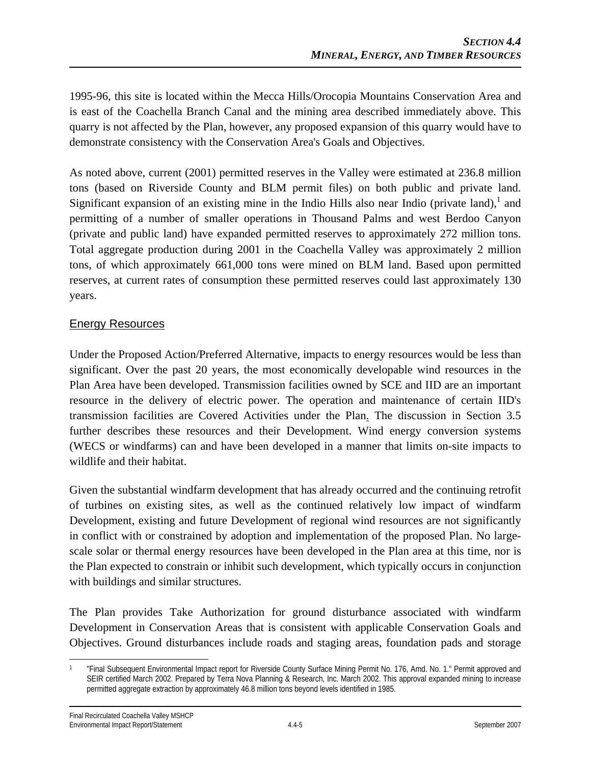1995-96, this site is located within the Mecca Hills/Orocopia Mountains Conservation Area and is east of the Coachella Branch Canal and the mining area described immediately above. This quarry is not affected by the Plan, however, any proposed expansion of this quarry would have to demonstrate consistency with the Conservation Area's Goals and Objectives.

As noted above, current (2001) permitted reserves in the Valley were estimated at 236.8 million tons (based on Riverside County and BLM permit files) on both public and private land. Significant expansion of an existing mine in the Indio Hills also near Indio (private land), and permitting of a number of smaller operations in Thousand Palms and west Berdoo Canyon (private and public land) have expanded permitted reserves to approximately 272 million tons. Total aggregate production during 2001 in the Coachella Valley was approximately 2 million tons, of which approximately 661,000 tons were mined on BLM land. Based upon permitted reserves, at current rates of consumption these permitted reserves could last approximately 130 years.

### Energy Resources

Under the Proposed Action/Preferred Alternative, impacts to energy resources would be less than significant. Over the past 20 years, the most economically developable wind resources in the Plan Area have been developed. Transmission facilities owned by SCE and IID are an important resource in the delivery of electric power. The operation and maintenance of certain IID's transmission facilities are Covered Activities under the Plan. The discussion in Section 3.5 further describes these resources and their Development. Wind energy conversion systems (WECS or windfarms) can and have been developed in a manner that limits on-site impacts to wildlife and their habitat.

Given the substantial windfarm development that has already occurred and the continuing retrofit of turbines on existing sites, as well as the continued relatively low impact of windfarm Development, existing and future Development of regional wind resources are not significantly in conflict with or constrained by adoption and implementation of the proposed Plan. No largescale solar or thermal energy resources have been developed in the Plan area at this time, nor is the Plan expected to constrain or inhibit such development, which typically occurs in conjunction with buildings and similar structures.

The Plan provides Take Authorization for ground disturbance associated with windfarm Development in Conservation Areas that is consistent with applicable Conservation Goals and Objectives. Ground disturbances include roads and staging areas, foundation pads and storage

 $\overline{\phantom{a}}$ 1 "Final Subsequent Environmental Impact report for Riverside County Surface Mining Permit No. 176, Amd. No. 1." Permit approved and SEIR certified March 2002. Prepared by Terra Nova Planning & Research, Inc. March 2002. This approval expanded mining to increase permitted aggregate extraction by approximately 46.8 million tons beyond levels identified in 1985.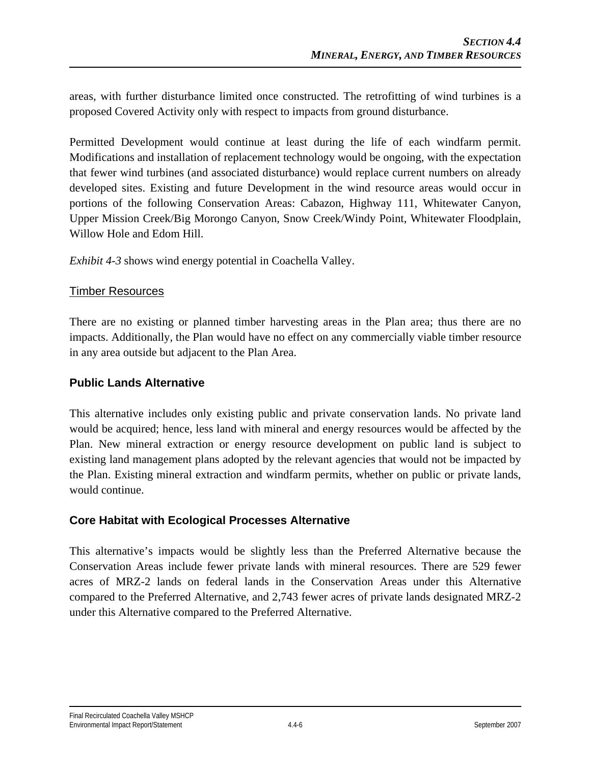areas, with further disturbance limited once constructed. The retrofitting of wind turbines is a proposed Covered Activity only with respect to impacts from ground disturbance.

Permitted Development would continue at least during the life of each windfarm permit. Modifications and installation of replacement technology would be ongoing, with the expectation that fewer wind turbines (and associated disturbance) would replace current numbers on already developed sites. Existing and future Development in the wind resource areas would occur in portions of the following Conservation Areas: Cabazon, Highway 111, Whitewater Canyon, Upper Mission Creek/Big Morongo Canyon, Snow Creek/Windy Point, Whitewater Floodplain, Willow Hole and Edom Hill.

*Exhibit 4-3* shows wind energy potential in Coachella Valley.

#### Timber Resources

There are no existing or planned timber harvesting areas in the Plan area; thus there are no impacts. Additionally, the Plan would have no effect on any commercially viable timber resource in any area outside but adjacent to the Plan Area.

#### **Public Lands Alternative**

This alternative includes only existing public and private conservation lands. No private land would be acquired; hence, less land with mineral and energy resources would be affected by the Plan. New mineral extraction or energy resource development on public land is subject to existing land management plans adopted by the relevant agencies that would not be impacted by the Plan. Existing mineral extraction and windfarm permits, whether on public or private lands, would continue.

### **Core Habitat with Ecological Processes Alternative**

This alternative's impacts would be slightly less than the Preferred Alternative because the Conservation Areas include fewer private lands with mineral resources. There are 529 fewer acres of MRZ-2 lands on federal lands in the Conservation Areas under this Alternative compared to the Preferred Alternative, and 2,743 fewer acres of private lands designated MRZ-2 under this Alternative compared to the Preferred Alternative.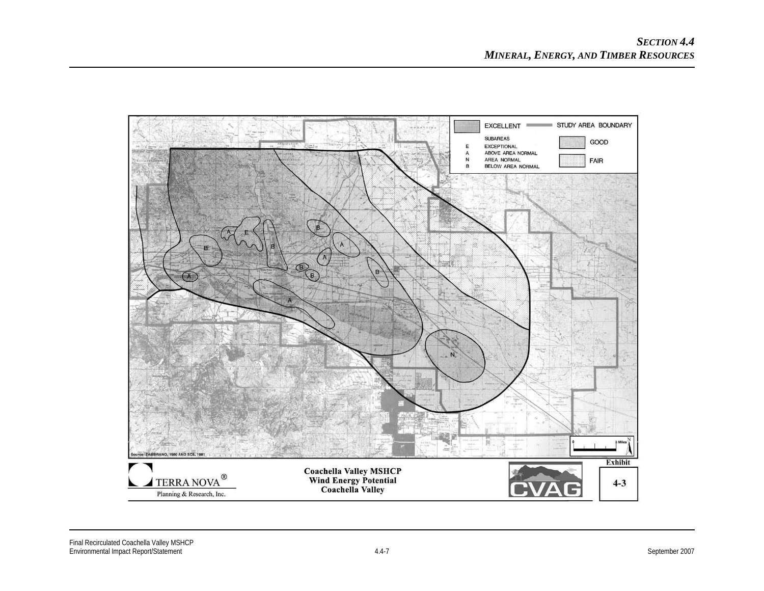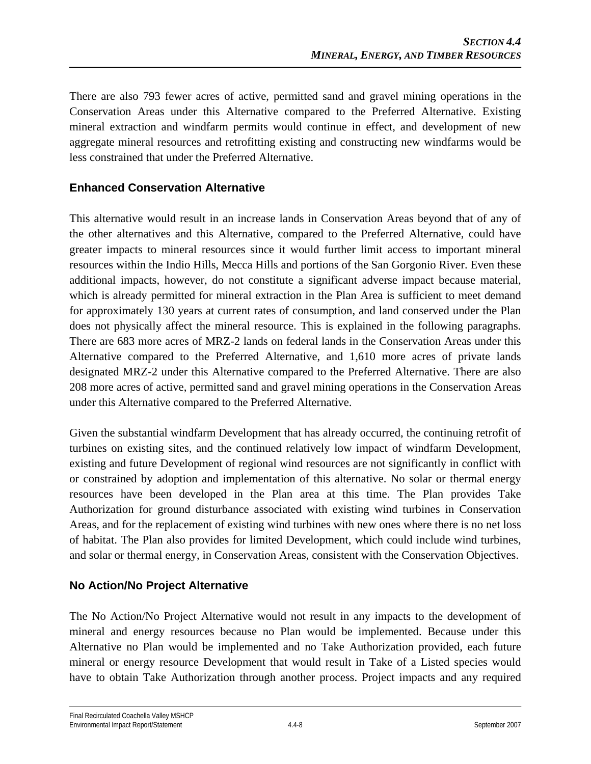There are also 793 fewer acres of active, permitted sand and gravel mining operations in the Conservation Areas under this Alternative compared to the Preferred Alternative. Existing mineral extraction and windfarm permits would continue in effect, and development of new aggregate mineral resources and retrofitting existing and constructing new windfarms would be less constrained that under the Preferred Alternative.

# **Enhanced Conservation Alternative**

This alternative would result in an increase lands in Conservation Areas beyond that of any of the other alternatives and this Alternative, compared to the Preferred Alternative, could have greater impacts to mineral resources since it would further limit access to important mineral resources within the Indio Hills, Mecca Hills and portions of the San Gorgonio River. Even these additional impacts, however, do not constitute a significant adverse impact because material, which is already permitted for mineral extraction in the Plan Area is sufficient to meet demand for approximately 130 years at current rates of consumption, and land conserved under the Plan does not physically affect the mineral resource. This is explained in the following paragraphs. There are 683 more acres of MRZ-2 lands on federal lands in the Conservation Areas under this Alternative compared to the Preferred Alternative, and 1,610 more acres of private lands designated MRZ-2 under this Alternative compared to the Preferred Alternative. There are also 208 more acres of active, permitted sand and gravel mining operations in the Conservation Areas under this Alternative compared to the Preferred Alternative.

Given the substantial windfarm Development that has already occurred, the continuing retrofit of turbines on existing sites, and the continued relatively low impact of windfarm Development, existing and future Development of regional wind resources are not significantly in conflict with or constrained by adoption and implementation of this alternative. No solar or thermal energy resources have been developed in the Plan area at this time. The Plan provides Take Authorization for ground disturbance associated with existing wind turbines in Conservation Areas, and for the replacement of existing wind turbines with new ones where there is no net loss of habitat. The Plan also provides for limited Development, which could include wind turbines, and solar or thermal energy, in Conservation Areas, consistent with the Conservation Objectives.

# **No Action/No Project Alternative**

The No Action/No Project Alternative would not result in any impacts to the development of mineral and energy resources because no Plan would be implemented. Because under this Alternative no Plan would be implemented and no Take Authorization provided, each future mineral or energy resource Development that would result in Take of a Listed species would have to obtain Take Authorization through another process. Project impacts and any required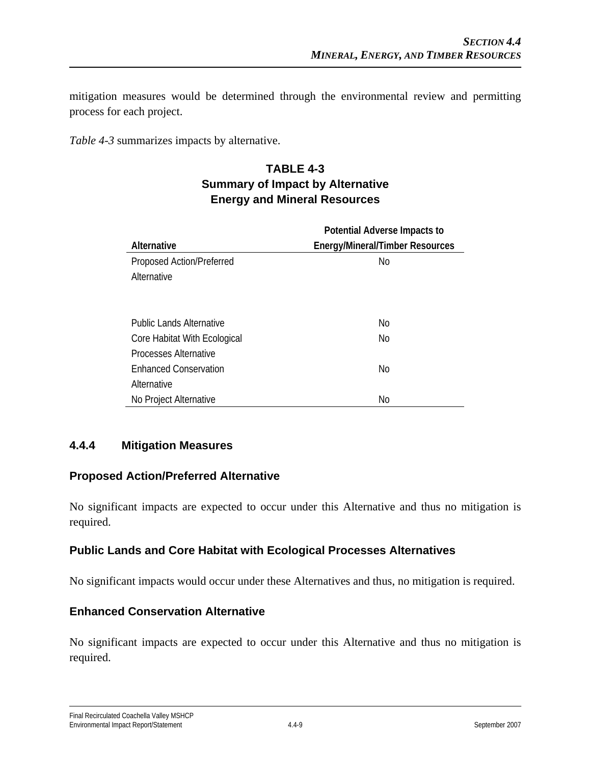mitigation measures would be determined through the environmental review and permitting process for each project.

*Table 4-3* summarizes impacts by alternative.

# **TABLE 4-3 Summary of Impact by Alternative Energy and Mineral Resources**

|                              | Potential Adverse Impacts to           |
|------------------------------|----------------------------------------|
| Alternative                  | <b>Energy/Mineral/Timber Resources</b> |
| Proposed Action/Preferred    | No.                                    |
| Alternative                  |                                        |
|                              |                                        |
|                              |                                        |
| Public Lands Alternative     | No                                     |
| Core Habitat With Ecological | No                                     |
| <b>Processes Alternative</b> |                                        |
| <b>Enhanced Conservation</b> | <b>No</b>                              |
| Alternative                  |                                        |
| No Project Alternative       | No                                     |

# **4.4.4 Mitigation Measures**

### **Proposed Action/Preferred Alternative**

No significant impacts are expected to occur under this Alternative and thus no mitigation is required.

### **Public Lands and Core Habitat with Ecological Processes Alternatives**

No significant impacts would occur under these Alternatives and thus, no mitigation is required.

### **Enhanced Conservation Alternative**

No significant impacts are expected to occur under this Alternative and thus no mitigation is required.